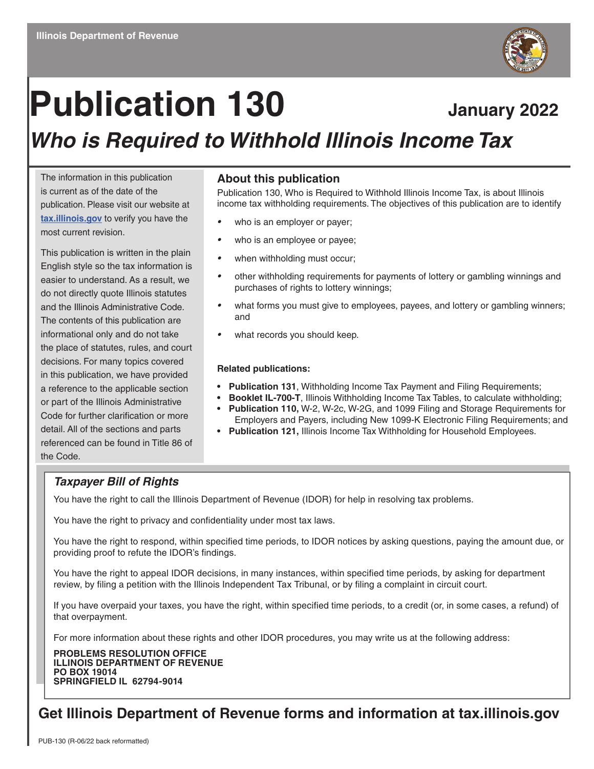

# Publication 130 January 2022 *Who is Required to Withhold Illinois Income Tax*

The information in this publication is current as of the date of the publication. Please visit our website at **[tax.illinois.gov](http://tax.illinois.gov)** to verify you have the most current revision.

This publication is written in the plain English style so the tax information is easier to understand. As a result, we do not directly quote Illinois statutes and the Illinois Administrative Code. The contents of this publication are informational only and do not take the place of statutes, rules, and court decisions. For many topics covered in this publication, we have provided a reference to the applicable section or part of the Illinois Administrative Code for further clarification or more detail. All of the sections and parts referenced can be found in Title 86 of the Code.

#### **About this publication**

Publication 130, Who is Required to Withhold Illinois Income Tax, is about Illinois income tax withholding requirements. The objectives of this publication are to identify

- *•* who is an employer or payer;
- *•* who is an employee or payee;
- *•* when withholding must occur;
- *•* other withholding requirements for payments of lottery or gambling winnings and purchases of rights to lottery winnings;
- *•* what forms you must give to employees, payees, and lottery or gambling winners; and
- *•* what records you should keep.

#### **Related publications:**

- **• Publication 131**, Withholding Income Tax Payment and Filing Requirements;
- **• Booklet IL-700-T**, Illinois Withholding Income Tax Tables, to calculate withholding;
	- **• Publication 110,** W-2, W-2c, W-2G, and 1099 Filing and Storage Requirements for Employers and Payers, including New 1099-K Electronic Filing Requirements; and
	- **• Publication 121,** Illinois Income Tax Withholding for Household Employees.

#### *Taxpayer Bill of Rights*

You have the right to call the Illinois Department of Revenue (IDOR) for help in resolving tax problems.

You have the right to privacy and confidentiality under most tax laws.

You have the right to respond, within specified time periods, to IDOR notices by asking questions, paying the amount due, or providing proof to refute the IDOR's findings.

You have the right to appeal IDOR decisions, in many instances, within specified time periods, by asking for department review, by filing a petition with the Illinois Independent Tax Tribunal, or by filing a complaint in circuit court.

If you have overpaid your taxes, you have the right, within specified time periods, to a credit (or, in some cases, a refund) of that overpayment.

For more information about these rights and other IDOR procedures, you may write us at the following address:

**PROBLEMS RESOLUTION OFFICE ILLINOIS DEPARTMENT OF REVENUE PO BOX 19014 SPRINGFIELD IL 62794-9014**

## **Get Illinois Department of Revenue forms and information at tax.illinois.gov**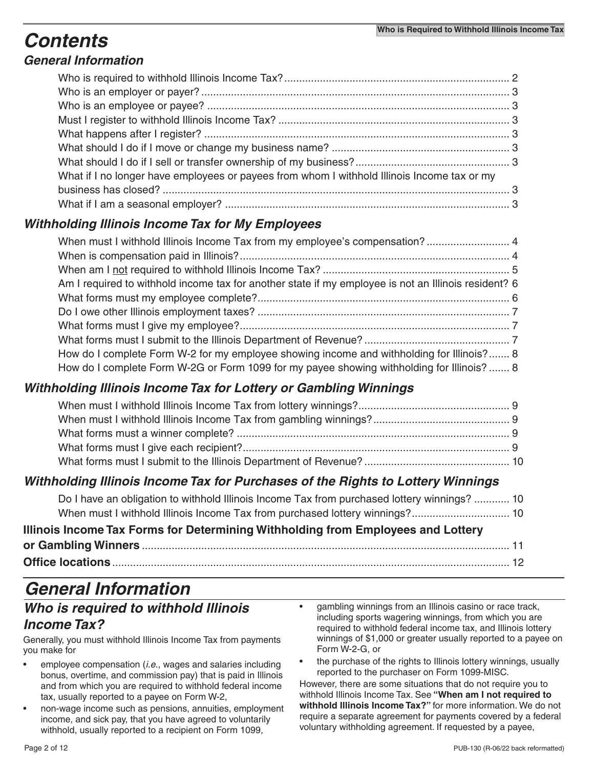## *Contents*

## *General Information*

| What if I no longer have employees or payees from whom I withhold Illinois Income tax or my |  |
|---------------------------------------------------------------------------------------------|--|
|                                                                                             |  |
|                                                                                             |  |

### *Withholding Illinois Income Tax for My Employees*

| When must I withhold Illinois Income Tax from my employee's compensation? 4                          |  |
|------------------------------------------------------------------------------------------------------|--|
|                                                                                                      |  |
|                                                                                                      |  |
| Am I required to withhold income tax for another state if my employee is not an Illinois resident? 6 |  |
|                                                                                                      |  |
|                                                                                                      |  |
|                                                                                                      |  |
|                                                                                                      |  |
| How do I complete Form W-2 for my employee showing income and withholding for Illinois? 8            |  |
| How do I complete Form W-2G or Form 1099 for my payee showing withholding for Illinois?  8           |  |

## *Withholding Illinois Income Tax for Lottery or Gambling Winnings*

### *Withholding Illinois Income Tax for Purchases of the Rights to Lottery Winnings*

| Do I have an obligation to withhold Illinois Income Tax from purchased lottery winnings?  10 |  |
|----------------------------------------------------------------------------------------------|--|
|                                                                                              |  |
| Illinois Income Tax Forms for Determining Withholding from Employees and Lottery             |  |
|                                                                                              |  |
|                                                                                              |  |

## *General Information*

### *Who is required to withhold Illinois Income Tax?*

Generally, you must withhold Illinois Income Tax from payments you make for

- employee compensation (*i.e*., wages and salaries including bonus, overtime, and commission pay) that is paid in Illinois and from which you are required to withhold federal income tax, usually reported to a payee on Form W-2,
- non-wage income such as pensions, annuities, employment income, and sick pay, that you have agreed to voluntarily withhold, usually reported to a recipient on Form 1099,
- gambling winnings from an Illinois casino or race track, including sports wagering winnings, from which you are required to withhold federal income tax, and Illinois lottery winnings of \$1,000 or greater usually reported to a payee on Form W-2-G, or
- the purchase of the rights to Illinois lottery winnings, usually reported to the purchaser on Form 1099-MISC.

However, there are some situations that do not require you to withhold Illinois Income Tax. See **"When am I not required to withhold Illinois Income Tax?"** for more information. We do not require a separate agreement for payments covered by a federal voluntary withholding agreement. If requested by a payee,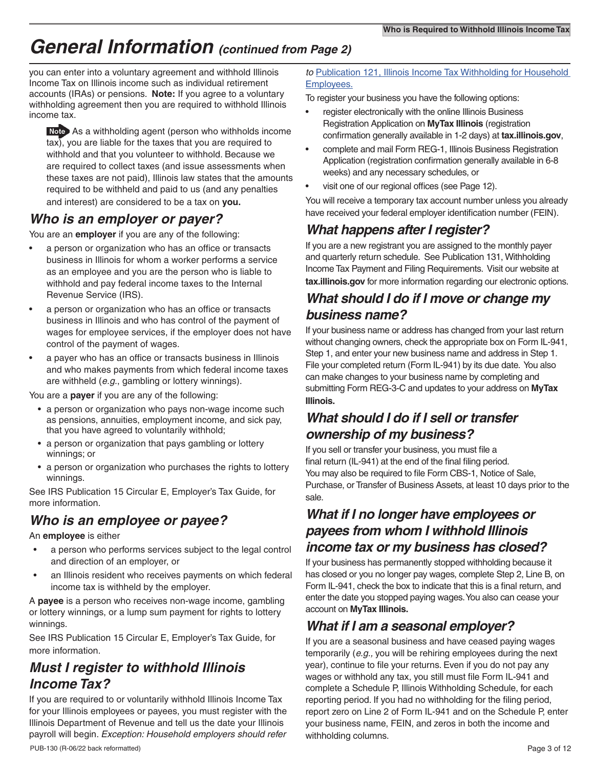## *General Information (continued from Page 2)*

you can enter into a voluntary agreement and withhold Illinois Income Tax on Illinois income such as individual retirement accounts (IRAs) or pensions. **Note:** If you agree to a voluntary withholding agreement then you are required to withhold Illinois income tax.

 As a withholding agent (person who withholds income tax), you are liable for the taxes that you are required to withhold and that you volunteer to withhold. Because we are required to collect taxes (and issue assessments when these taxes are not paid), Illinois law states that the amounts required to be withheld and paid to us (and any penalties and interest) are considered to be a tax on **you.** 

## *Who is an employer or payer?*

You are an **employer** if you are any of the following:

- a person or organization who has an office or transacts business in Illinois for whom a worker performs a service as an employee and you are the person who is liable to withhold and pay federal income taxes to the Internal Revenue Service (IRS).
- a person or organization who has an office or transacts business in Illinois and who has control of the payment of wages for employee services, if the employer does not have control of the payment of wages.
- a payer who has an office or transacts business in Illinois and who makes payments from which federal income taxes are withheld (*e.g.*, gambling or lottery winnings).

You are a **payer** if you are any of the following:

- a person or organization who pays non-wage income such as pensions, annuities, employment income, and sick pay, that you have agreed to voluntarily withhold;
- a person or organization that pays gambling or lottery winnings; or
- a person or organization who purchases the rights to lottery winnings.

See IRS Publication 15 Circular E, Employer's Tax Guide, for more information.

## *Who is an employee or payee?*

An **employee** is either

- a person who performs services subject to the legal control and direction of an employer, or
- an Illinois resident who receives payments on which federal income tax is withheld by the employer.

A **payee** is a person who receives non-wage income, gambling or lottery winnings, or a lump sum payment for rights to lottery winnings.

See IRS Publication 15 Circular E, Employer's Tax Guide, for more information.

## *Must I register to withhold Illinois Income Tax?*

If you are required to or voluntarily withhold Illinois Income Tax for your Illinois employees or payees, you must register with the Illinois Department of Revenue and tell us the date your Illinois payroll will begin. *Exception: Household employers should refer* 

#### *to* [Publication 121, Illinois Income Tax Withholding for Household](https://www2.illinois.gov/rev/research/publications/pubs/Documents/PUB-121.pdf)  [Employees.](https://www2.illinois.gov/rev/research/publications/pubs/Documents/PUB-121.pdf)

To register your business you have the following options:

- register electronically with the online Illinois Business Registration Application on **MyTax Illinois** (registration confirmation generally available in 1-2 days) at **tax.illinois.gov**,
- complete and mail Form REG-1, Illinois Business Registration Application (registration confirmation generally available in 6-8 weeks) and any necessary schedules, or
- visit one of our regional offices (see Page 12).

You will receive a temporary tax account number unless you already have received your federal employer identification number (FEIN).

## *What happens after I register?*

If you are a new registrant you are assigned to the monthly payer and quarterly return schedule. See Publication 131, Withholding Income Tax Payment and Filing Requirements. Visit our website at **tax.illinois.gov** for more information regarding our electronic options.

## *What should I do if I move or change my business name?*

If your business name or address has changed from your last return without changing owners, check the appropriate box on Form IL-941, Step 1, and enter your new business name and address in Step 1. File your completed return (Form IL-941) by its due date. You also can make changes to your business name by completing and submitting Form REG-3-C and updates to your address on **MyTax Illinois.** 

## *What should I do if I sell or transfer ownership of my business?*

If you sell or transfer your business, you must file a final return (IL-941) at the end of the final filing period. You may also be required to file Form CBS-1, Notice of Sale, Purchase, or Transfer of Business Assets, at least 10 days prior to the sale.

## *What if I no longer have employees or payees from whom I withhold Illinois income tax or my business has closed?*

If your business has permanently stopped withholding because it has closed or you no longer pay wages, complete Step 2, Line B, on Form IL-941, check the box to indicate that this is a final return, and enter the date you stopped paying wages. You also can cease your account on **MyTax Illinois.**

## *What if I am a seasonal employer?*

If you are a seasonal business and have ceased paying wages temporarily (*e.g.,* you will be rehiring employees during the next year), continue to file your returns. Even if you do not pay any wages or withhold any tax, you still must file Form IL-941 and complete a Schedule P, Illinois Withholding Schedule, for each reporting period. If you had no withholding for the filing period, report zero on Line 2 of Form IL-941 and on the Schedule P, enter your business name, FEIN, and zeros in both the income and withholding columns.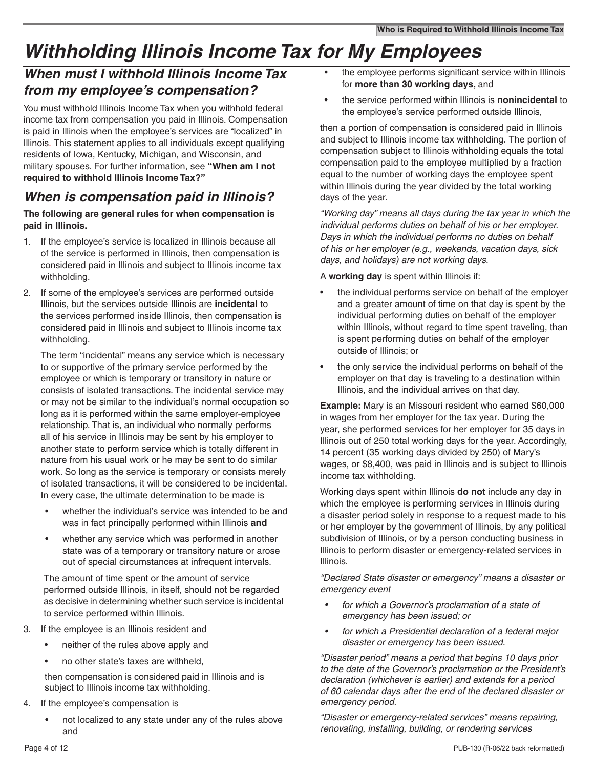## *Withholding Illinois Income Tax for My Employees*

## *When must I withhold Illinois Income Tax from my employee's compensation?*

You must withhold Illinois Income Tax when you withhold federal income tax from compensation you paid in Illinois. Compensation is paid in Illinois when the employee's services are "localized" in Illinois. This statement applies to all individuals except qualifying residents of Iowa, Kentucky, Michigan, and Wisconsin, and military spouses. For further information, see **"When am I not required to withhold Illinois Income Tax?"**

## *When is compensation paid in Illinois?*

#### **The following are general rules for when compensation is paid in Illinois.**

- 1. If the employee's service is localized in Illinois because all of the service is performed in Illinois, then compensation is considered paid in Illinois and subject to Illinois income tax withholding.
- 2. If some of the employee's services are performed outside Illinois, but the services outside Illinois are **incidental** to the services performed inside Illinois, then compensation is considered paid in Illinois and subject to Illinois income tax withholding.

The term "incidental" means any service which is necessary to or supportive of the primary service performed by the employee or which is temporary or transitory in nature or consists of isolated transactions. The incidental service may or may not be similar to the individual's normal occupation so long as it is performed within the same employer-employee relationship. That is, an individual who normally performs all of his service in Illinois may be sent by his employer to another state to perform service which is totally different in nature from his usual work or he may be sent to do similar work. So long as the service is temporary or consists merely of isolated transactions, it will be considered to be incidental. In every case, the ultimate determination to be made is

- whether the individual's service was intended to be and was in fact principally performed within Illinois **and**
- whether any service which was performed in another state was of a temporary or transitory nature or arose out of special circumstances at infrequent intervals.

The amount of time spent or the amount of service performed outside Illinois, in itself, should not be regarded as decisive in determining whether such service is incidental to service performed within Illinois.

- 3. If the employee is an Illinois resident and
	- neither of the rules above apply and
	- no other state's taxes are withheld,

then compensation is considered paid in Illinois and is subject to Illinois income tax withholding.

- 4. If the employee's compensation is
	- not localized to any state under any of the rules above and
- the employee performs significant service within Illinois for **more than 30 working days,** and
- the service performed within Illinois is **nonincidental** to the employee's service performed outside Illinois,

then a portion of compensation is considered paid in Illinois and subject to Illinois income tax withholding. The portion of compensation subject to Illinois withholding equals the total compensation paid to the employee multiplied by a fraction equal to the number of working days the employee spent within Illinois during the year divided by the total working days of the year.

*"Working day" means all days during the tax year in which the individual performs duties on behalf of his or her employer. Days in which the individual performs no duties on behalf of his or her employer (e.g., weekends, vacation days, sick days, and holidays) are not working days.* 

A **working day** is spent within Illinois if:

- the individual performs service on behalf of the employer and a greater amount of time on that day is spent by the individual performing duties on behalf of the employer within Illinois, without regard to time spent traveling, than is spent performing duties on behalf of the employer outside of Illinois; or
- the only service the individual performs on behalf of the employer on that day is traveling to a destination within Illinois, and the individual arrives on that day.

**Example:** Mary is an Missouri resident who earned \$60,000 in wages from her employer for the tax year. During the year, she performed services for her employer for 35 days in Illinois out of 250 total working days for the year. Accordingly, 14 percent (35 working days divided by 250) of Mary's wages, or \$8,400, was paid in Illinois and is subject to Illinois income tax withholding.

Working days spent within Illinois **do not** include any day in which the employee is performing services in Illinois during a disaster period solely in response to a request made to his or her employer by the government of Illinois, by any political subdivision of Illinois, or by a person conducting business in Illinois to perform disaster or emergency-related services in Illinois.

*"Declared State disaster or emergency" means a disaster or emergency event* 

- *• for which a Governor's proclamation of a state of emergency has been issued; or*
- *• for which a Presidential declaration of a federal major disaster or emergency has been issued.*

*"Disaster period" means a period that begins 10 days prior to the date of the Governor's proclamation or the President's declaration (whichever is earlier) and extends for a period of 60 calendar days after the end of the declared disaster or emergency period.* 

*"Disaster or emergency-related services" means repairing, renovating, installing, building, or rendering services*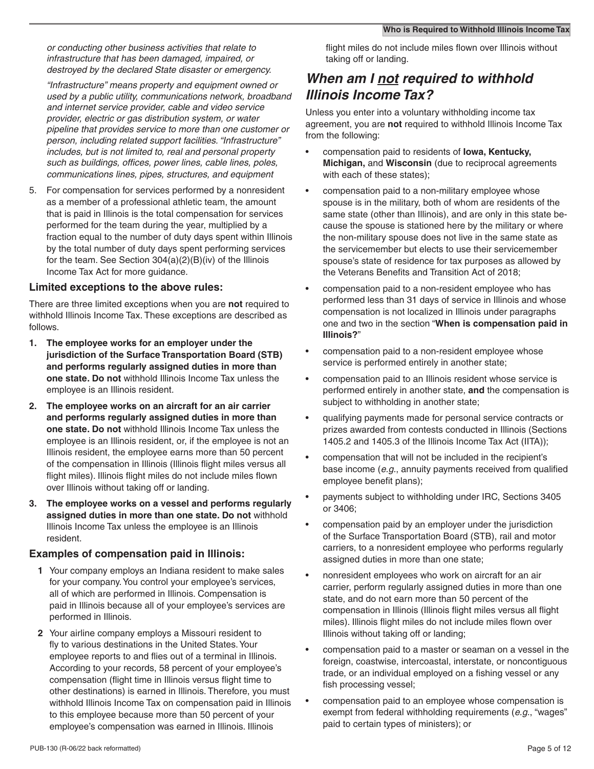*or conducting other business activities that relate to infrastructure that has been damaged, impaired, or destroyed by the declared State disaster or emergency.* 

*"Infrastructure" means property and equipment owned or used by a public utility, communications network, broadband and internet service provider, cable and video service provider, electric or gas distribution system, or water pipeline that provides service to more than one customer or person, including related support facilities. "Infrastructure" includes, but is not limited to, real and personal property such as buildings, offices, power lines, cable lines, poles, communications lines, pipes, structures, and equipment*

5. For compensation for services performed by a nonresident as a member of a professional athletic team, the amount that is paid in Illinois is the total compensation for services performed for the team during the year, multiplied by a fraction equal to the number of duty days spent within Illinois by the total number of duty days spent performing services for the team. See Section 304(a)(2)(B)(iv) of the Illinois Income Tax Act for more guidance.

#### **Limited exceptions to the above rules:**

There are three limited exceptions when you are **not** required to withhold Illinois Income Tax. These exceptions are described as follows.

- **1. The employee works for an employer under the jurisdiction of the Surface Transportation Board (STB) and performs regularly assigned duties in more than one state. Do not** withhold Illinois Income Tax unless the employee is an Illinois resident.
- **2. The employee works on an aircraft for an air carrier and performs regularly assigned duties in more than one state. Do not** withhold Illinois Income Tax unless the employee is an Illinois resident, or, if the employee is not an Illinois resident, the employee earns more than 50 percent of the compensation in Illinois (Illinois flight miles versus all flight miles). Illinois flight miles do not include miles flown over Illinois without taking off or landing.
- **3. The employee works on a vessel and performs regularly assigned duties in more than one state. Do not** withhold Illinois Income Tax unless the employee is an Illinois resident.

#### **Examples of compensation paid in Illinois:**

- **1** Your company employs an Indiana resident to make sales for your company. You control your employee's services, all of which are performed in Illinois. Compensation is paid in Illinois because all of your employee's services are performed in Illinois.
- **2** Your airline company employs a Missouri resident to fly to various destinations in the United States. Your employee reports to and flies out of a terminal in Illinois. According to your records, 58 percent of your employee's compensation (flight time in Illinois versus flight time to other destinations) is earned in Illinois. Therefore, you must withhold Illinois Income Tax on compensation paid in Illinois to this employee because more than 50 percent of your employee's compensation was earned in Illinois. Illinois

flight miles do not include miles flown over Illinois without taking off or landing.

## *When am I not required to withhold Illinois Income Tax?*

Unless you enter into a voluntary withholding income tax agreement, you are **not** required to withhold Illinois Income Tax from the following:

- compensation paid to residents of **Iowa, Kentucky, Michigan,** and **Wisconsin** (due to reciprocal agreements with each of these states);
- compensation paid to a non-military employee whose spouse is in the military, both of whom are residents of the same state (other than Illinois), and are only in this state because the spouse is stationed here by the military or where the non-military spouse does not live in the same state as the servicemember but elects to use their servicemember spouse's state of residence for tax purposes as allowed by the Veterans Benefits and Transition Act of 2018;
- compensation paid to a non-resident employee who has performed less than 31 days of service in Illinois and whose compensation is not localized in Illinois under paragraphs one and two in the section "**When is compensation paid in Illinois?**"
- compensation paid to a non-resident employee whose service is performed entirely in another state;
- compensation paid to an Illinois resident whose service is performed entirely in another state, **and** the compensation is subject to withholding in another state;
- qualifying payments made for personal service contracts or prizes awarded from contests conducted in Illinois (Sections 1405.2 and 1405.3 of the Illinois Income Tax Act (IITA));
- compensation that will not be included in the recipient's base income (*e.g.*, annuity payments received from qualified employee benefit plans);
- payments subject to withholding under IRC, Sections 3405 or 3406;
- compensation paid by an employer under the jurisdiction of the Surface Transportation Board (STB), rail and motor carriers, to a nonresident employee who performs regularly assigned duties in more than one state;
- nonresident employees who work on aircraft for an air carrier, perform regularly assigned duties in more than one state, and do not earn more than 50 percent of the compensation in Illinois (Illinois flight miles versus all flight miles). Illinois flight miles do not include miles flown over Illinois without taking off or landing;
- compensation paid to a master or seaman on a vessel in the foreign, coastwise, intercoastal, interstate, or noncontiguous trade, or an individual employed on a fishing vessel or any fish processing vessel;
- compensation paid to an employee whose compensation is exempt from federal withholding requirements (*e.g.*, "wages" paid to certain types of ministers); or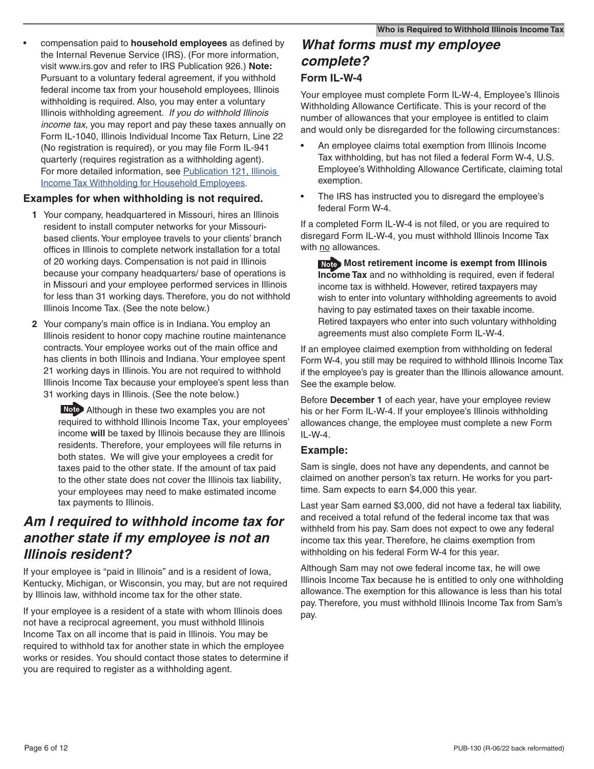• compensation paid to **household employees** as defined by the Internal Revenue Service (IRS). (For more information, visit www.irs.gov and refer to IRS Publication 926.) **Note:** Pursuant to a voluntary federal agreement, if you withhold federal income tax from your household employees, Illinois withholding is required. Also, you may enter a voluntary Illinois withholding agreement. *If you do withhold Illinois income tax,* you may report and pay these taxes annually on Form IL-1040, Illinois Individual Income Tax Return, Line 22 (No registration is required), or you may file Form IL-941 quarterly (requires registration as a withholding agent). For more detailed information, see Publication 121, Illinois [Income Tax Withholding for Household Employees](https://www2.illinois.gov/rev/research/publications/pubs/Documents/PUB-121.pdf).

#### **Examples for when withholding is not required.**

- **1** Your company, headquartered in Missouri, hires an Illinois resident to install computer networks for your Missouribased clients. Your employee travels to your clients' branch offices in Illinois to complete network installation for a total of 20 working days. Compensation is not paid in Illinois because your company headquarters/ base of operations is in Missouri and your employee performed services in Illinois for less than 31 working days. Therefore, you do not withhold Illinois Income Tax. (See the note below.)
- **2** Your company's main office is in Indiana. You employ an Illinois resident to honor copy machine routine maintenance contracts. Your employee works out of the main office and has clients in both Illinois and Indiana. Your employee spent 21 working days in Illinois. You are not required to withhold Illinois Income Tax because your employee's spent less than 31 working days in Illinois. (See the note below.)

 Although in these two examples you are not required to withhold Illinois Income Tax, your employees' income **will** be taxed by Illinois because they are Illinois residents. Therefore, your employees will file returns in both states. We will give your employees a credit for taxes paid to the other state. If the amount of tax paid to the other state does not cover the Illinois tax liability, your employees may need to make estimated income tax payments to Illinois.

## *Am I required to withhold income tax for another state if my employee is not an Illinois resident?*

If your employee is "paid in Illinois" and is a resident of Iowa, Kentucky, Michigan, or Wisconsin, you may, but are not required by Illinois law, withhold income tax for the other state.

If your employee is a resident of a state with whom Illinois does not have a reciprocal agreement, you must withhold Illinois Income Tax on all income that is paid in Illinois. You may be required to withhold tax for another state in which the employee works or resides. You should contact those states to determine if you are required to register as a withholding agent.

## *What forms must my employee complete?*

#### **Form IL-W-4**

Your employee must complete Form IL-W-4, Employee's Illinois Withholding Allowance Certificate. This is your record of the number of allowances that your employee is entitled to claim and would only be disregarded for the following circumstances:

- An employee claims total exemption from Illinois Income Tax withholding, but has not filed a federal Form W-4, U.S. Employee's Withholding Allowance Certificate, claiming total exemption.
- The IRS has instructed you to disregard the employee's federal Form W-4.

If a completed Form IL-W-4 is not filed, or you are required to disregard Form IL-W-4, you must withhold Illinois Income Tax with no allowances.

**Most retirement income is exempt from Illinois Income Tax** and no withholding is required, even if federal income tax is withheld. However, retired taxpayers may wish to enter into voluntary withholding agreements to avoid having to pay estimated taxes on their taxable income. Retired taxpayers who enter into such voluntary withholding agreements must also complete Form IL-W-4.

If an employee claimed exemption from withholding on federal Form W-4, you still may be required to withhold Illinois Income Tax if the employee's pay is greater than the Illinois allowance amount. See the example below.

Before **December 1** of each year, have your employee review his or her Form IL-W-4. If your employee's Illinois withholding allowances change, the employee must complete a new Form IL-W-4.

#### **Example:**

Sam is single, does not have any dependents, and cannot be claimed on another person's tax return. He works for you parttime. Sam expects to earn \$4,000 this year.

Last year Sam earned \$3,000, did not have a federal tax liability, and received a total refund of the federal income tax that was withheld from his pay. Sam does not expect to owe any federal income tax this year. Therefore, he claims exemption from withholding on his federal Form W-4 for this year.

Although Sam may not owe federal income tax, he will owe Illinois Income Tax because he is entitled to only one withholding allowance. The exemption for this allowance is less than his total pay. Therefore, you must withhold Illinois Income Tax from Sam's pay.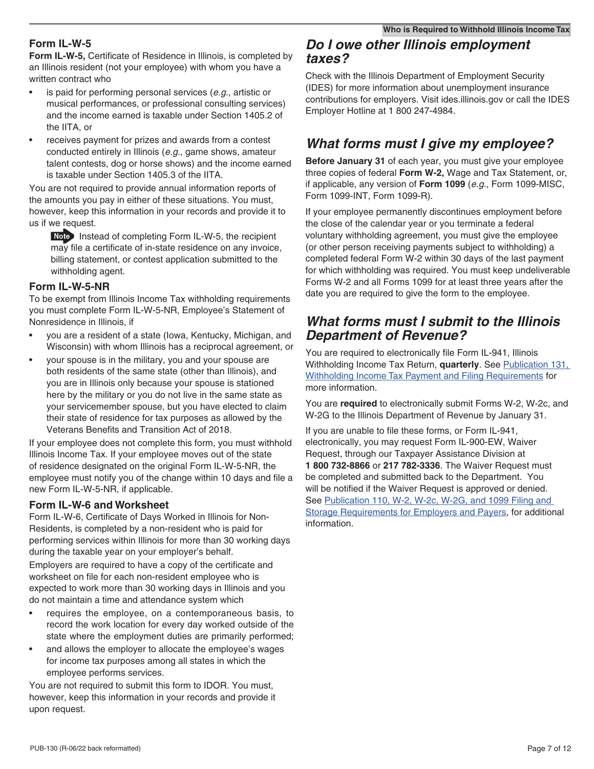#### **Form IL-W-5**

**Form IL-W-5,** Certificate of Residence in Illinois, is completed by an Illinois resident (not your employee) with whom you have a written contract who

- is paid for performing personal services (*e.g.*, artistic or musical performances, or professional consulting services) and the income earned is taxable under Section 1405.2 of the IITA, or
- receives payment for prizes and awards from a contest conducted entirely in Illinois (*e.g.*, game shows, amateur talent contests, dog or horse shows) and the income earned is taxable under Section 1405.3 of the IITA.

You are not required to provide annual information reports of the amounts you pay in either of these situations. You must, however, keep this information in your records and provide it to us if we request.

 Instead of completing Form IL-W-5, the recipient may file a certificate of in-state residence on any invoice, billing statement, or contest application submitted to the withholding agent.

#### **Form IL-W-5-NR**

To be exempt from Illinois Income Tax withholding requirements you must complete Form IL-W-5-NR, Employee's Statement of Nonresidence in Illinois, if

- you are a resident of a state (Iowa, Kentucky, Michigan, and Wisconsin) with whom Illinois has a reciprocal agreement, or
- your spouse is in the military, you and your spouse are both residents of the same state (other than Illinois), and you are in Illinois only because your spouse is stationed here by the military or you do not live in the same state as your servicemember spouse, but you have elected to claim their state of residence for tax purposes as allowed by the Veterans Benefits and Transition Act of 2018.

If your employee does not complete this form, you must withhold Illinois Income Tax. If your employee moves out of the state of residence designated on the original Form IL-W-5-NR, the employee must notify you of the change within 10 days and file a new Form IL-W-5-NR, if applicable.

#### **Form IL-W-6 and Worksheet**

Form IL-W-6, Certificate of Days Worked in Illinois for Non-Residents, is completed by a non-resident who is paid for performing services within Illinois for more than 30 working days during the taxable year on your employer's behalf.

Employers are required to have a copy of the certificate and worksheet on file for each non-resident employee who is expected to work more than 30 working days in Illinois and you do not maintain a time and attendance system which

- requires the employee, on a contemporaneous basis, to record the work location for every day worked outside of the state where the employment duties are primarily performed;
- and allows the employer to allocate the employee's wages for income tax purposes among all states in which the employee performs services.

You are not required to submit this form to IDOR. You must, however, keep this information in your records and provide it upon request.

#### *Do I owe other Illinois employment taxes?*

Check with the Illinois Department of Employment Security (IDES) for more information about unemployment insurance contributions for employers. Visit ides.illinois.gov or call the IDES Employer Hotline at 1 800 247-4984.

## *What forms must I give my employee?*

**Before January 31** of each year, you must give your employee three copies of federal **Form W-2,** Wage and Tax Statement, or, if applicable, any version of **Form 1099** (*e.g.*, Form 1099-MISC, Form 1099-INT, Form 1099-R).

If your employee permanently discontinues employment before the close of the calendar year or you terminate a federal voluntary withholding agreement, you must give the employee (or other person receiving payments subject to withholding) a completed federal Form W-2 within 30 days of the last payment for which withholding was required. You must keep undeliverable Forms W-2 and all Forms 1099 for at least three years after the date you are required to give the form to the employee.

### *What forms must I submit to the Illinois Department of Revenue?*

You are required to electronically file Form IL-941, Illinois Withholding Income Tax Return, **quarterly**. See [Publication 131,](https://www2.illinois.gov/rev/research/publications/pubs/Documents/PUB-131.pdf)  [Withholding Income Tax Payment and Filing Requirements](https://www2.illinois.gov/rev/research/publications/pubs/Documents/PUB-131.pdf) for [more information.](https://www2.illinois.gov/rev/research/publications/pubs/Documents/PUB-131.pdf) 

You are **required** to electronically submit Forms W-2, W-2c, and W-2G to the Illinois Department of Revenue by January 31.

If you are unable to file these forms, or Form IL-941, electronically, you may request Form IL-900-EW, Waiver Request, through our Taxpayer Assistance Division at **1 800 732-8866** or **217 782-3336**. The Waiver Request must be completed and submitted back to the Department. You will be notified if the Waiver Request is approved or denied. See Publication 110, W-2, W-2c, W-2G, and 1099 Filing and [Storage Requirements for Employers and Payers,](https://www2.illinois.gov/rev/research/publications/pubs/Documents/pub-110.pdf) for additional information.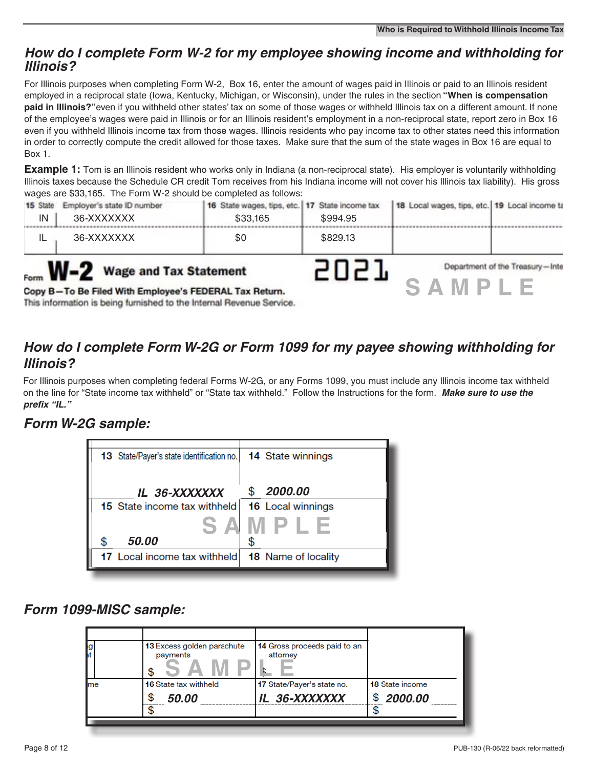### *How do I complete Form W-2 for my employee showing income and withholding for Illinois?*

For Illinois purposes when completing Form W-2, Box 16, enter the amount of wages paid in Illinois or paid to an Illinois resident employed in a reciprocal state (Iowa, Kentucky, Michigan, or Wisconsin), under the rules in the section **"When is compensation paid in Illinois?"**even if you withheld other states' tax on some of those wages or withheld Illinois tax on a different amount. If none of the employee's wages were paid in Illinois or for an Illinois resident's employment in a non-reciprocal state, report zero in Box 16 even if you withheld Illinois income tax from those wages. Illinois residents who pay income tax to other states need this information in order to correctly compute the credit allowed for those taxes. Make sure that the sum of the state wages in Box 16 are equal to Box 1.

**Example 1:** Tom is an Illinois resident who works only in Indiana (a non-reciprocal state). His employer is voluntarily withholding Illinois taxes because the Schedule CR credit Tom receives from his Indiana income will not cover his Illinois tax liability). His gross wages are \$33,165. The Form W-2 should be completed as follows:

| 15 State<br>IN | Employer's state ID number<br>36-XXXXXXX                                                                                                                                 | 16 State wages, tips, etc. 17 State income tax<br>\$33,165 | \$994.95 | 18 Local wages, tips, etc. 19 Local income ta |                                 |
|----------------|--------------------------------------------------------------------------------------------------------------------------------------------------------------------------|------------------------------------------------------------|----------|-----------------------------------------------|---------------------------------|
| IL             | 36-XXXXXXX                                                                                                                                                               | \$0                                                        | \$829.13 |                                               |                                 |
|                | Form <b>W-2</b> Wage and Tax Statement<br>Copy B-To Be Filed With Employee's FEDERAL Tax Return.<br>This information is being furnished to the Internal Revenue Service. |                                                            |          | SA.<br>$M$ P                                  | Department of the Treasury-Inte |

## *How do I complete Form W-2G or Form 1099 for my payee showing withholding for Illinois?*

For Illinois purposes when completing federal Forms W-2G, or any Forms 1099, you must include any Illinois income tax withheld on the line for "State income tax withheld" or "State tax withheld." Follow the Instructions for the form. *Make sure to use the prefix "IL."*

## *Form W-2G sample:*



*Form 1099-MISC sample:*

| g<br> t | 13 Excess golden parachute<br>payments     | 14 Gross proceeds paid to an<br>attorney    |                                         |
|---------|--------------------------------------------|---------------------------------------------|-----------------------------------------|
| me      | <b>16 State tax withheld</b><br>S<br>50.00 | 17 State/Payer's state no.<br>IL 36-XXXXXXX | <b>18 State income</b><br>\$<br>2000.00 |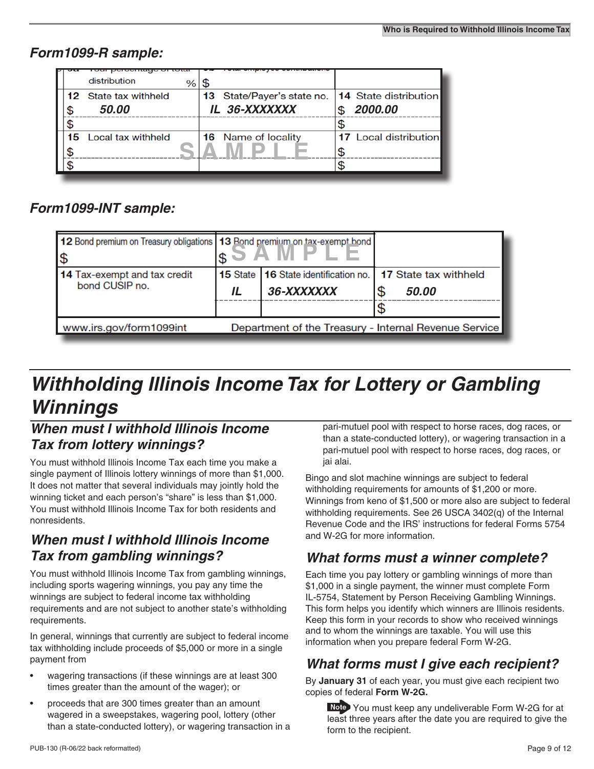## *Form1099-R sample:*

|     | distribution                 | \$                                                 |                              |
|-----|------------------------------|----------------------------------------------------|------------------------------|
|     | <b>12</b> State tax withheld | 13 State/Payer's state no.   14 State distribution |                              |
| \$  | 50.00                        | IL 36-XXXXXXX                                      | 2000.00                      |
|     |                              |                                                    |                              |
| 15. | Local tax withheld           | <b>16</b> Name of locality                         | <b>17</b> Local distribution |
|     |                              |                                                    |                              |
|     |                              |                                                    |                              |
|     |                              |                                                    |                              |

## *Form1099-INT sample:*

| 12 Bond premium on Treasury obligations   13 Bond premium on tax-exempt bond<br>۱\$ |    |                                                                              |  |       |
|-------------------------------------------------------------------------------------|----|------------------------------------------------------------------------------|--|-------|
| 14 Tax-exempt and tax credit<br>bond CUSIP no.                                      | IL | 15 State   16 State identification no.   17 State tax withheld<br>36-XXXXXXX |  | 50.00 |
| www.irs.gov/form1099int<br>Department of the Treasury - Internal Revenue Service    |    |                                                                              |  |       |

## *Withholding Illinois Income Tax for Lottery or Gambling Winnings*

## *When must I withhold Illinois Income Tax from lottery winnings?*

You must withhold Illinois Income Tax each time you make a single payment of Illinois lottery winnings of more than \$1,000. It does not matter that several individuals may jointly hold the winning ticket and each person's "share" is less than \$1,000. You must withhold Illinois Income Tax for both residents and nonresidents.

## *When must I withhold Illinois Income Tax from gambling winnings?*

You must withhold Illinois Income Tax from gambling winnings, including sports wagering winnings, you pay any time the winnings are subject to federal income tax withholding requirements and are not subject to another state's withholding requirements.

In general, winnings that currently are subject to federal income tax withholding include proceeds of \$5,000 or more in a single payment from

- wagering transactions (if these winnings are at least 300 times greater than the amount of the wager); or
- proceeds that are 300 times greater than an amount wagered in a sweepstakes, wagering pool, lottery (other than a state-conducted lottery), or wagering transaction in a

pari-mutuel pool with respect to horse races, dog races, or than a state-conducted lottery), or wagering transaction in a pari-mutuel pool with respect to horse races, dog races, or jai alai.

Bingo and slot machine winnings are subject to federal withholding requirements for amounts of \$1,200 or more. Winnings from keno of \$1,500 or more also are subject to federal withholding requirements. See 26 USCA 3402(q) of the Internal Revenue Code and the IRS' instructions for federal Forms 5754 and W-2G for more information.

## *What forms must a winner complete?*

Each time you pay lottery or gambling winnings of more than \$1,000 in a single payment, the winner must complete Form IL-5754, Statement by Person Receiving Gambling Winnings. This form helps you identify which winners are Illinois residents. Keep this form in your records to show who received winnings and to whom the winnings are taxable. You will use this information when you prepare federal Form W-2G.

## *What forms must I give each recipient?*

By **January 31** of each year, you must give each recipient two copies of federal **Form W-2G.** 

 You must keep any undeliverable Form W-2G for at least three years after the date you are required to give the form to the recipient.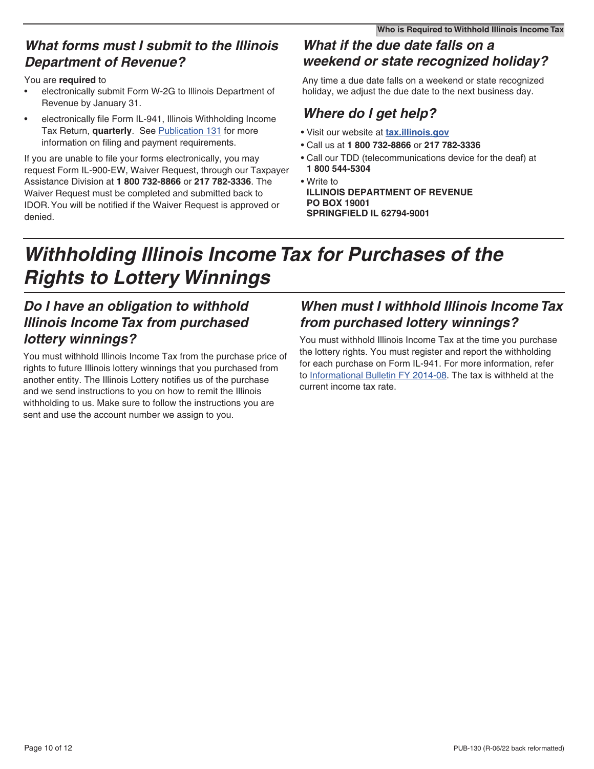### *What forms must I submit to the Illinois Department of Revenue?*

#### You are **required** to

- electronically submit Form W-2G to Illinois Department of Revenue by January 31.
- electronically file Form IL-941, Illinois Withholding Income Tax Return, **quarterly**. See [Publication 131](https://www2.illinois.gov/rev/research/publications/pubs/Documents/PUB-131.pdf) for more information on filing and payment requirements.

If you are unable to file your forms electronically, you may request Form IL-900-EW, Waiver Request, through our Taxpayer Assistance Division at **1 800 732-8866** or **217 782-3336**. The Waiver Request must be completed and submitted back to IDOR. You will be notified if the Waiver Request is approved or denied.

## *What if the due date falls on a weekend or state recognized holiday?*

Any time a due date falls on a weekend or state recognized holiday, we adjust the due date to the next business day.

## *Where do I get help?*

- Visit our website at **[tax.illinois.gov](http://tax.illinois.gov)**
- Call us at **1 800 732-8866** or **217 782-3336**
- Call our TDD (telecommunications device for the deaf) at **1 800 544-5304**
- Write to **ILLINOIS DEPARTMENT OF REVENUE PO BOX 19001 SPRINGFIELD IL 62794-9001**

## *Withholding Illinois Income Tax for Purchases of the Rights to Lottery Winnings*

## *Do I have an obligation to withhold Illinois Income Tax from purchased lottery winnings?*

You must withhold Illinois Income Tax from the purchase price of rights to future Illinois lottery winnings that you purchased from another entity. The Illinois Lottery notifies us of the purchase and we send instructions to you on how to remit the Illinois withholding to us. Make sure to follow the instructions you are sent and use the account number we assign to you.

## *When must I withhold Illinois Income Tax from purchased lottery winnings?*

You must withhold Illinois Income Tax at the time you purchase the lottery rights. You must register and report the withholding for each purchase on Form IL-941. For more information, refer to [Informational Bulletin FY 2014-08.](https://www2.illinois.gov/rev/research/publications/bulletins/Documents/2014/fy-2014-08.pdf) The tax is withheld at the current income tax rate.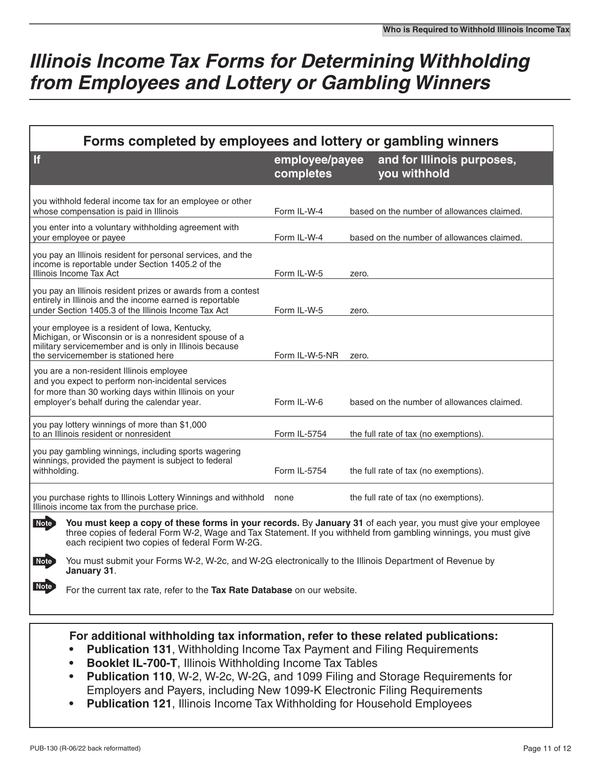## *Illinois Income Tax Forms for Determining Withholding from Employees and Lottery or Gambling Winners*

| Forms completed by employees and lottery or gambling winners                                                                                                                                                                                                                                      |                             |                                            |  |  |  |
|---------------------------------------------------------------------------------------------------------------------------------------------------------------------------------------------------------------------------------------------------------------------------------------------------|-----------------------------|--------------------------------------------|--|--|--|
| <b>If</b>                                                                                                                                                                                                                                                                                         | employee/payee<br>completes | and for Illinois purposes,<br>you withhold |  |  |  |
| you withhold federal income tax for an employee or other<br>whose compensation is paid in Illinois                                                                                                                                                                                                | Form IL-W-4                 | based on the number of allowances claimed. |  |  |  |
| you enter into a voluntary withholding agreement with<br>your employee or payee                                                                                                                                                                                                                   | Form IL-W-4                 | based on the number of allowances claimed. |  |  |  |
| you pay an Illinois resident for personal services, and the<br>income is reportable under Section 1405.2 of the<br>Illinois Income Tax Act                                                                                                                                                        | Form IL-W-5                 | zero.                                      |  |  |  |
| you pay an Illinois resident prizes or awards from a contest<br>entirely in Illinois and the income earned is reportable<br>under Section 1405.3 of the Illinois Income Tax Act                                                                                                                   | Form IL-W-5                 | zero.                                      |  |  |  |
| your employee is a resident of Iowa, Kentucky,<br>Michigan, or Wisconsin or is a nonresident spouse of a<br>military servicemember and is only in Illinois because<br>the servicemember is stationed here                                                                                         | Form IL-W-5-NR              | zero.                                      |  |  |  |
| you are a non-resident Illinois employee<br>and you expect to perform non-incidental services<br>for more than 30 working days within Illinois on your<br>employer's behalf during the calendar year.                                                                                             | Form IL-W-6                 | based on the number of allowances claimed. |  |  |  |
| you pay lottery winnings of more than \$1,000<br>to an Illinois resident or nonresident                                                                                                                                                                                                           | Form IL-5754                | the full rate of tax (no exemptions).      |  |  |  |
| you pay gambling winnings, including sports wagering<br>winnings, provided the payment is subject to federal<br>withholding.                                                                                                                                                                      | Form IL-5754                | the full rate of tax (no exemptions).      |  |  |  |
| you purchase rights to Illinois Lottery Winnings and withhold<br>Illinois income tax from the purchase price.                                                                                                                                                                                     | none                        | the full rate of tax (no exemptions).      |  |  |  |
| <b>Note</b><br>You must keep a copy of these forms in your records. By January 31 of each year, you must give your employee<br>three copies of federal Form W-2, Wage and Tax Statement. If you withheld from gambling winnings, you must give<br>each recipient two copies of federal Form W-2G. |                             |                                            |  |  |  |
| You must submit your Forms W-2, W-2c, and W-2G electronically to the Illinois Department of Revenue by<br>Note<br>January 31.                                                                                                                                                                     |                             |                                            |  |  |  |
| <b>Note</b><br>For the current tax rate, refer to the Tax Rate Database on our website.                                                                                                                                                                                                           |                             |                                            |  |  |  |

#### **For additional withholding tax information, refer to these related publications:**

- **• Publication 131**, Withholding Income Tax Payment and Filing Requirements
- **• Booklet IL-700-T**, Illinois Withholding Income Tax Tables
- **• Publication 110**, W-2, W-2c, W-2G, and 1099 Filing and Storage Requirements for Employers and Payers, including New 1099-K Electronic Filing Requirements
- **• Publication 121**, Illinois Income Tax Withholding for Household Employees